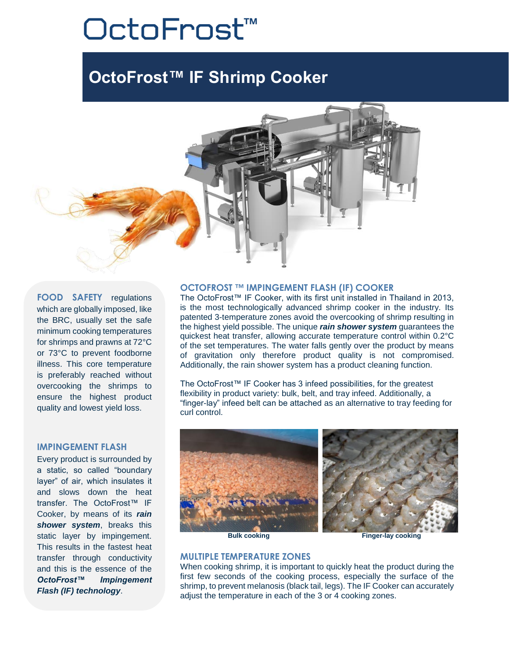# OctoFrost™

## **OctoFrost™ IF Shrimp Cooker**



**FOOD SAFETY** regulations which are globally imposed, like the BRC, usually set the safe minimum cooking temperatures for shrimps and prawns at 72°C or 73°C to prevent foodborne illness. This core temperature is preferably reached without overcooking the shrimps to ensure the highest product quality and lowest yield loss.

#### **IMPINGEMENT FLASH**

Every product is surrounded by a static, so called "boundary layer" of air, which insulates it and slows down the heat transfer. The OctoFrost™ IF Cooker, by means of its *rain shower system*, breaks this static layer by impingement. This results in the fastest heat transfer through conductivity and this is the essence of the *OctoFrost™ Impingement Flash (IF) technology*.

#### **OCTOFROST ™ IMPINGEMENT FLASH (IF) COOKER**

The OctoFrost™ IF Cooker, with its first unit installed in Thailand in 2013, is the most technologically advanced shrimp cooker in the industry. Its patented 3-temperature zones avoid the overcooking of shrimp resulting in the highest yield possible. The unique *rain shower system* guarantees the quickest heat transfer, allowing accurate temperature control within 0.2°C of the set temperatures. The water falls gently over the product by means of gravitation only therefore product quality is not compromised. Additionally, the rain shower system has a product cleaning function.

The OctoFrost™ IF Cooker has 3 infeed possibilities, for the greatest flexibility in product variety: bulk, belt, and tray infeed. Additionally, a "finger-lay" infeed belt can be attached as an alternative to tray feeding for curl control.



#### **MULTIPLE TEMPERATURE ZONES**

When cooking shrimp, it is important to quickly heat the product during the first few seconds of the cooking process, especially the surface of the shrimp, to prevent melanosis (black tail, legs). The IF Cooker can accurately adjust the temperature in each of the 3 or 4 cooking zones.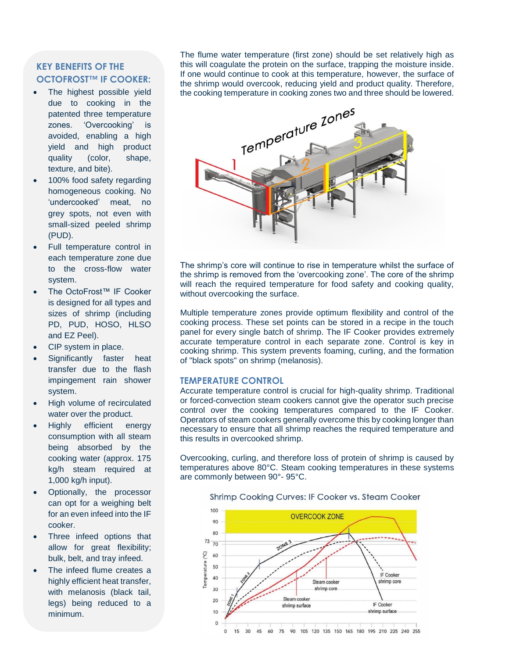#### **KEY BENEFITS OF THE OCTOFROST™ IF COOKER:**

- The highest possible yield due to cooking in the patented three temperature zones. 'Overcooking' is avoided, enabling a high yield and high product quality (color, shape, texture, and bite).
- 100% food safety regarding homogeneous cooking. No 'undercooked' meat, no grey spots, not even with small-sized peeled shrimp (PUD).
- Full temperature control in each temperature zone due to the cross-flow water system.
- The OctoFrost™ IF Cooker is designed for all types and sizes of shrimp (including PD, PUD, HOSO, HLSO and EZ Peel).
- CIP system in place.
- Significantly faster heat transfer due to the flash impingement rain shower system.
- High volume of recirculated water over the product.
- Highly efficient energy consumption with all steam being absorbed by the cooking water (approx. 175 kg/h steam required at 1,000 kg/h input).
- Optionally, the processor can opt for a weighing belt for an even infeed into the IF cooker.
- Three infeed options that allow for great flexibility; bulk, belt, and tray infeed.
- The infeed flume creates a highly efficient heat transfer, with melanosis (black tail, legs) being reduced to a minimum.

The flume water temperature (first zone) should be set relatively high as this will coagulate the protein on the surface, trapping the moisture inside. If one would continue to cook at this temperature, however, the surface of the shrimp would overcook, reducing yield and product quality. Therefore, the cooking temperature in cooking zones two and three should be lowered.



The shrimp's core will continue to rise in temperature whilst the surface of the shrimp is removed from the 'overcooking zone'. The core of the shrimp will reach the required temperature for food safety and cooking quality, without overcooking the surface.

Multiple temperature zones provide optimum flexibility and control of the cooking process. These set points can be stored in a recipe in the touch panel for every single batch of shrimp. The IF Cooker provides extremely accurate temperature control in each separate zone. Control is key in cooking shrimp. This system prevents foaming, curling, and the formation of "black spots" on shrimp (melanosis).

#### **TEMPERATURE CONTROL**

Accurate temperature control is crucial for high-quality shrimp. Traditional or forced-convection steam cookers cannot give the operator such precise control over the cooking temperatures compared to the IF Cooker. Operators of steam cookers generally overcome this by cooking longer than necessary to ensure that all shrimp reaches the required temperature and this results in overcooked shrimp.

Overcooking, curling, and therefore loss of protein of shrimp is caused by temperatures above 80°C. Steam cooking temperatures in these systems are commonly between 90°- 95°C.

Shrimp Cooking Curves: IF Cooker vs. Steam Cooker

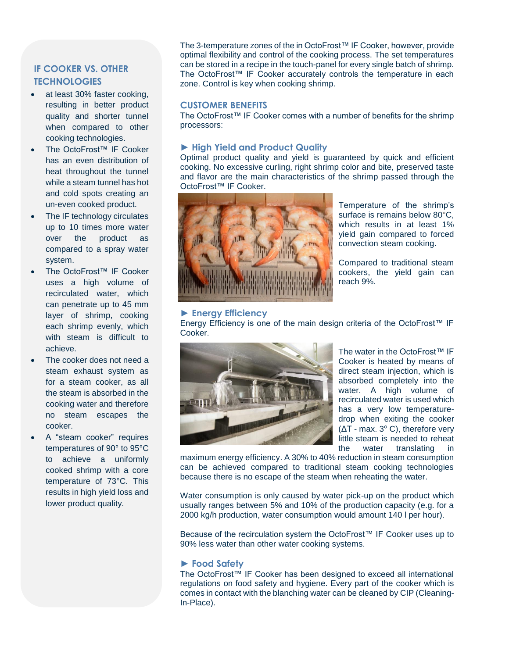### **IF COOKER VS. OTHER TECHNOLOGIES**

- at least 30% faster cooking, resulting in better product quality and shorter tunnel when compared to other cooking technologies.
- The OctoFrost™ IF Cooker has an even distribution of heat throughout the tunnel while a steam tunnel has hot and cold spots creating an un-even cooked product.
- The IF technology circulates up to 10 times more water over the product as compared to a spray water system.
- The OctoFrost™ IF Cooker uses a high volume of recirculated water, which can penetrate up to 45 mm layer of shrimp, cooking each shrimp evenly, which with steam is difficult to achieve.
- The cooker does not need a steam exhaust system as for a steam cooker, as all the steam is absorbed in the cooking water and therefore no steam escapes the cooker.
- A "steam cooker" requires temperatures of 90° to 95°C to achieve a uniformly cooked shrimp with a core temperature of 73°C. This results in high yield loss and lower product quality.

The 3-temperature zones of the in OctoFrost™ IF Cooker, however, provide optimal flexibility and control of the cooking process. The set temperatures can be stored in a recipe in the touch-panel for every single batch of shrimp. The OctoFrost™ IF Cooker accurately controls the temperature in each zone. Control is key when cooking shrimp.

#### **CUSTOMER BENEFITS**

The OctoFrost™ IF Cooker comes with a number of benefits for the shrimp processors:

#### **► High Yield and Product Quality**

Optimal product quality and yield is guaranteed by quick and efficient cooking. No excessive curling, right shrimp color and bite, preserved taste and flavor are the main characteristics of the shrimp passed through the OctoFrost™ IF Cooker.



Temperature of the shrimp's surface is remains below 80°C, which results in at least 1% yield gain compared to forced convection steam cooking.

Compared to traditional steam cookers, the yield gain can reach 9%.

#### **► Energy Efficiency**

Energy Efficiency is one of the main design criteria of the OctoFrost™ IF Cooker.



The water in the OctoFrost™ IF Cooker is heated by means of direct steam injection, which is absorbed completely into the water. A high volume of recirculated water is used which has a very low temperaturedrop when exiting the cooker (ΔT - max. 3° C), therefore very little steam is needed to reheat the water translating in

maximum energy efficiency. A 30% to 40% reduction in steam consumption can be achieved compared to traditional steam cooking technologies because there is no escape of the steam when reheating the water.

Water consumption is only caused by water pick-up on the product which usually ranges between 5% and 10% of the production capacity (e.g. for a 2000 kg/h production, water consumption would amount 140 l per hour).

Because of the recirculation system the OctoFrost™ IF Cooker uses up to 90% less water than other water cooking systems.

#### **► Food Safety**

The OctoFrost™ IF Cooker has been designed to exceed all international regulations on food safety and hygiene. Every part of the cooker which is comes in contact with the blanching water can be cleaned by CIP (Cleaning-In-Place).